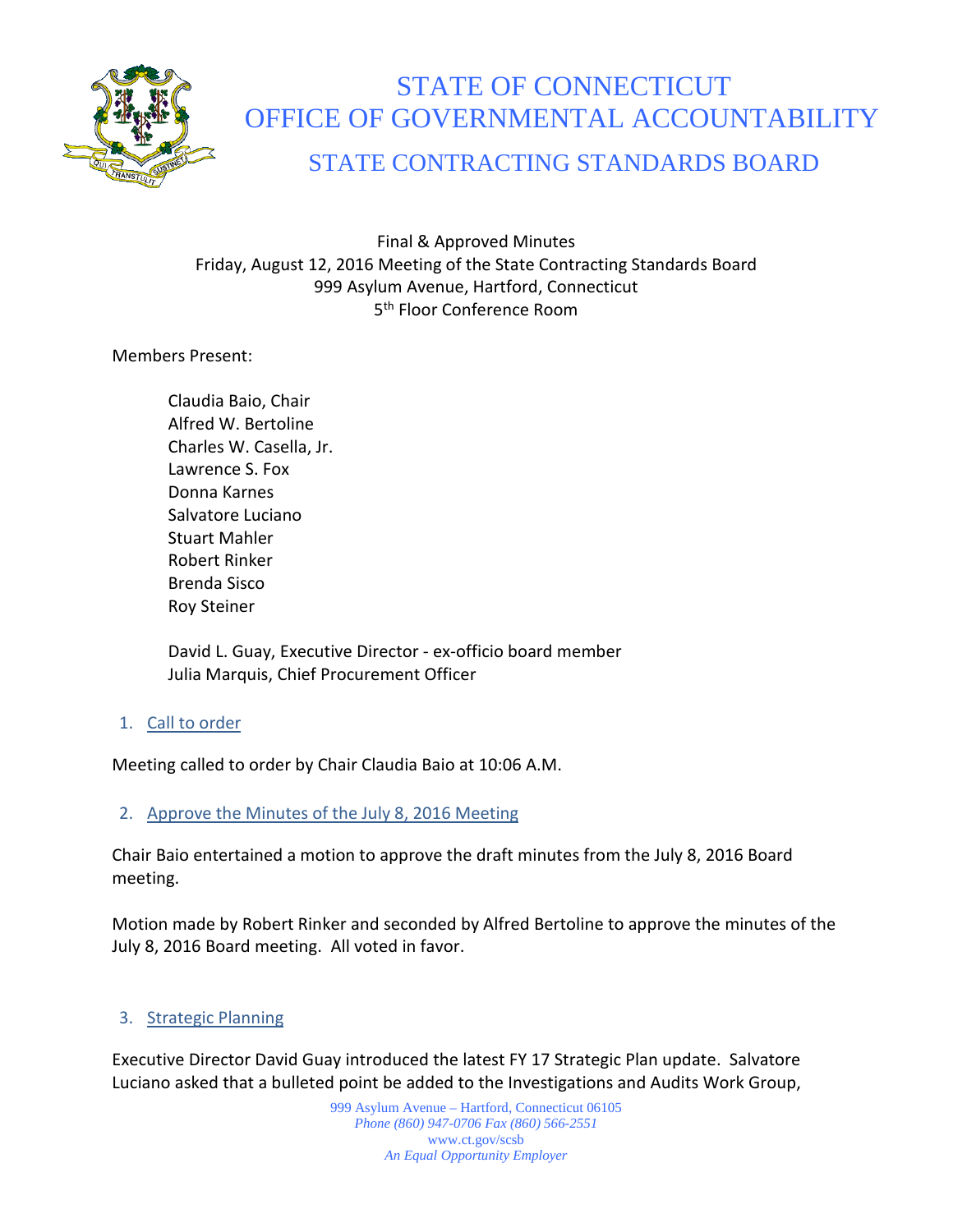

# STATE OF CONNECTICUT OFFICE OF GOVERNMENTAL ACCOUNTABILITY

# STATE CONTRACTING STANDARDS BOARD

Final & Approved Minutes Friday, August 12, 2016 Meeting of the State Contracting Standards Board 999 Asylum Avenue, Hartford, Connecticut 5<sup>th</sup> Floor Conference Room

Members Present:

Claudia Baio, Chair Alfred W. Bertoline Charles W. Casella, Jr. Lawrence S. Fox Donna Karnes Salvatore Luciano Stuart Mahler Robert Rinker Brenda Sisco Roy Steiner

David L. Guay, Executive Director - ex-officio board member Julia Marquis, Chief Procurement Officer

1. Call to order

Meeting called to order by Chair Claudia Baio at 10:06 A.M.

#### 2. Approve the Minutes of the July 8, 2016 Meeting

Chair Baio entertained a motion to approve the draft minutes from the July 8, 2016 Board meeting.

Motion made by Robert Rinker and seconded by Alfred Bertoline to approve the minutes of the July 8, 2016 Board meeting. All voted in favor.

# 3. Strategic Planning

Executive Director David Guay introduced the latest FY 17 Strategic Plan update. Salvatore Luciano asked that a bulleted point be added to the Investigations and Audits Work Group,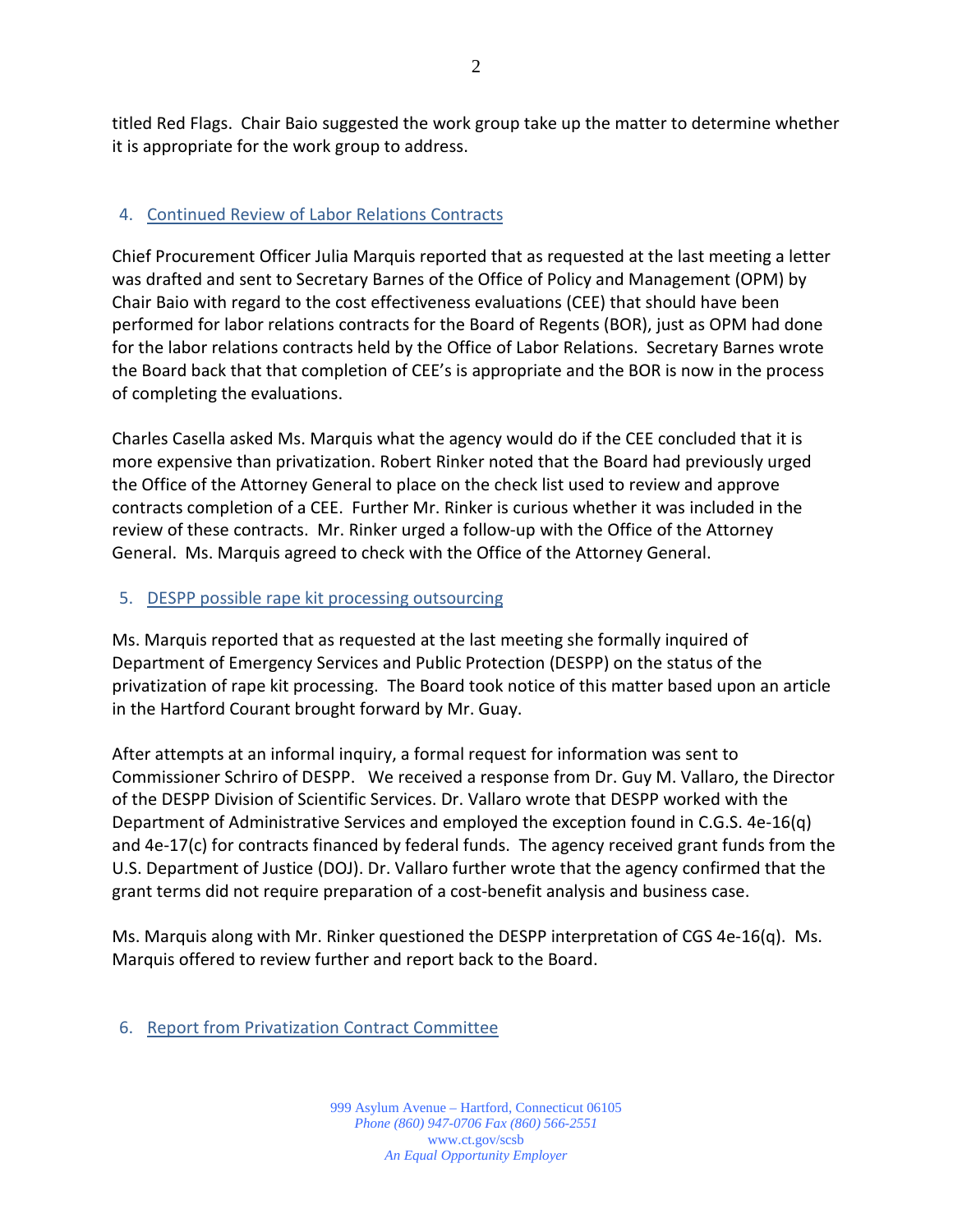titled Red Flags. Chair Baio suggested the work group take up the matter to determine whether it is appropriate for the work group to address.

#### 4. Continued Review of Labor Relations Contracts

Chief Procurement Officer Julia Marquis reported that as requested at the last meeting a letter was drafted and sent to Secretary Barnes of the Office of Policy and Management (OPM) by Chair Baio with regard to the cost effectiveness evaluations (CEE) that should have been performed for labor relations contracts for the Board of Regents (BOR), just as OPM had done for the labor relations contracts held by the Office of Labor Relations. Secretary Barnes wrote the Board back that that completion of CEE's is appropriate and the BOR is now in the process of completing the evaluations.

Charles Casella asked Ms. Marquis what the agency would do if the CEE concluded that it is more expensive than privatization. Robert Rinker noted that the Board had previously urged the Office of the Attorney General to place on the check list used to review and approve contracts completion of a CEE. Further Mr. Rinker is curious whether it was included in the review of these contracts. Mr. Rinker urged a follow-up with the Office of the Attorney General. Ms. Marquis agreed to check with the Office of the Attorney General.

#### 5. DESPP possible rape kit processing outsourcing

Ms. Marquis reported that as requested at the last meeting she formally inquired of Department of Emergency Services and Public Protection (DESPP) on the status of the privatization of rape kit processing. The Board took notice of this matter based upon an article in the Hartford Courant brought forward by Mr. Guay.

After attempts at an informal inquiry, a formal request for information was sent to Commissioner Schriro of DESPP. We received a response from Dr. Guy M. Vallaro, the Director of the DESPP Division of Scientific Services. Dr. Vallaro wrote that DESPP worked with the Department of Administrative Services and employed the exception found in C.G.S. 4e-16(q) and 4e-17(c) for contracts financed by federal funds. The agency received grant funds from the U.S. Department of Justice (DOJ). Dr. Vallaro further wrote that the agency confirmed that the grant terms did not require preparation of a cost-benefit analysis and business case.

Ms. Marquis along with Mr. Rinker questioned the DESPP interpretation of CGS 4e-16(q). Ms. Marquis offered to review further and report back to the Board.

6. Report from Privatization Contract Committee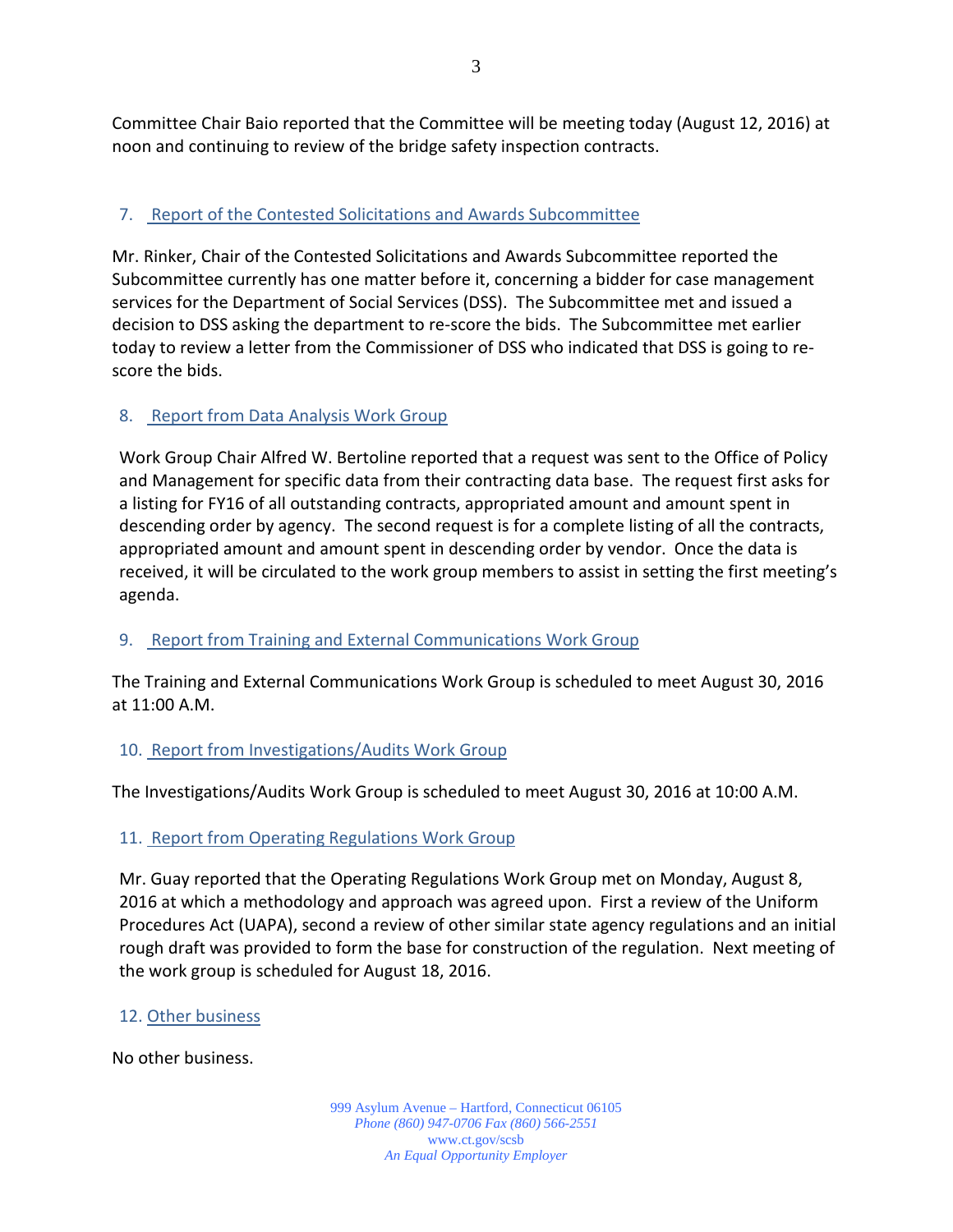Committee Chair Baio reported that the Committee will be meeting today (August 12, 2016) at noon and continuing to review of the bridge safety inspection contracts.

# 7. Report of the Contested Solicitations and Awards Subcommittee

Mr. Rinker, Chair of the Contested Solicitations and Awards Subcommittee reported the Subcommittee currently has one matter before it, concerning a bidder for case management services for the Department of Social Services (DSS). The Subcommittee met and issued a decision to DSS asking the department to re-score the bids. The Subcommittee met earlier today to review a letter from the Commissioner of DSS who indicated that DSS is going to rescore the bids.

# 8. Report from Data Analysis Work Group

Work Group Chair Alfred W. Bertoline reported that a request was sent to the Office of Policy and Management for specific data from their contracting data base. The request first asks for a listing for FY16 of all outstanding contracts, appropriated amount and amount spent in descending order by agency. The second request is for a complete listing of all the contracts, appropriated amount and amount spent in descending order by vendor. Once the data is received, it will be circulated to the work group members to assist in setting the first meeting's agenda.

# 9. Report from Training and External Communications Work Group

The Training and External Communications Work Group is scheduled to meet August 30, 2016 at 11:00 A.M.

# 10. Report from Investigations/Audits Work Group

The Investigations/Audits Work Group is scheduled to meet August 30, 2016 at 10:00 A.M.

# 11. Report from Operating Regulations Work Group

Mr. Guay reported that the Operating Regulations Work Group met on Monday, August 8, 2016 at which a methodology and approach was agreed upon. First a review of the Uniform Procedures Act (UAPA), second a review of other similar state agency regulations and an initial rough draft was provided to form the base for construction of the regulation. Next meeting of the work group is scheduled for August 18, 2016.

#### 12. Other business

No other business.

999 Asylum Avenue – Hartford, Connecticut 06105 *Phone (860) 947-0706 Fax (860) 566-2551* www.ct.gov/scsb *An Equal Opportunity Employer*